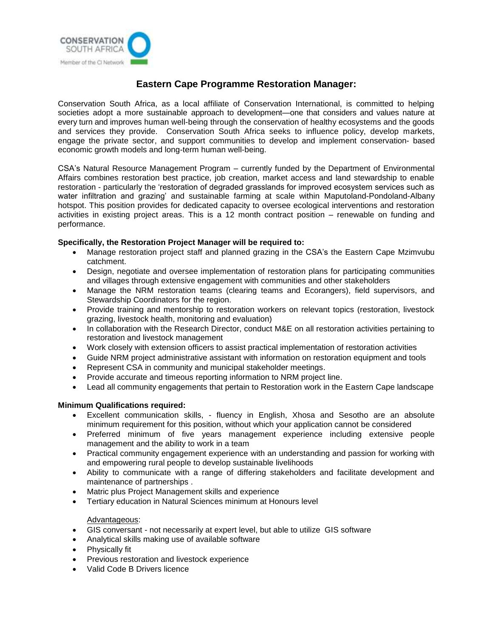

# **Eastern Cape Programme Restoration Manager:**

Conservation South Africa, as a local affiliate of Conservation International, is committed to helping societies adopt a more sustainable approach to development—one that considers and values nature at every turn and improves human well-being through the conservation of healthy ecosystems and the goods and services they provide. Conservation South Africa seeks to influence policy, develop markets, engage the private sector, and support communities to develop and implement conservation- based economic growth models and long-term human well-being.

CSA's Natural Resource Management Program – currently funded by the Department of Environmental Affairs combines restoration best practice, job creation, market access and land stewardship to enable restoration - particularly the 'restoration of degraded grasslands for improved ecosystem services such as water infiltration and grazing' and sustainable farming at scale within Maputoland-Pondoland-Albany hotspot. This position provides for dedicated capacity to oversee ecological interventions and restoration activities in existing project areas. This is a 12 month contract position – renewable on funding and performance.

## **Specifically, the Restoration Project Manager will be required to:**

- Manage restoration project staff and planned grazing in the CSA's the Eastern Cape Mzimvubu catchment.
- Design, negotiate and oversee implementation of restoration plans for participating communities and villages through extensive engagement with communities and other stakeholders
- Manage the NRM restoration teams (clearing teams and Ecorangers), field supervisors, and Stewardship Coordinators for the region.
- Provide training and mentorship to restoration workers on relevant topics (restoration, livestock grazing, livestock health, monitoring and evaluation)
- In collaboration with the Research Director, conduct M&E on all restoration activities pertaining to restoration and livestock management
- Work closely with extension officers to assist practical implementation of restoration activities
- Guide NRM project administrative assistant with information on restoration equipment and tools
- Represent CSA in community and municipal stakeholder meetings.
- Provide accurate and timeous reporting information to NRM project line.
- Lead all community engagements that pertain to Restoration work in the Eastern Cape landscape

## **Minimum Qualifications required:**

- Excellent communication skills, fluency in English, Xhosa and Sesotho are an absolute minimum requirement for this position, without which your application cannot be considered
- Preferred minimum of five years management experience including extensive people management and the ability to work in a team
- Practical community engagement experience with an understanding and passion for working with and empowering rural people to develop sustainable livelihoods
- Ability to communicate with a range of differing stakeholders and facilitate development and maintenance of partnerships .
- Matric plus Project Management skills and experience
- Tertiary education in Natural Sciences minimum at Honours level

## Advantageous:

- GIS conversant not necessarily at expert level, but able to utilize GIS software
- Analytical skills making use of available software
- Physically fit
- Previous restoration and livestock experience
- Valid Code B Drivers licence